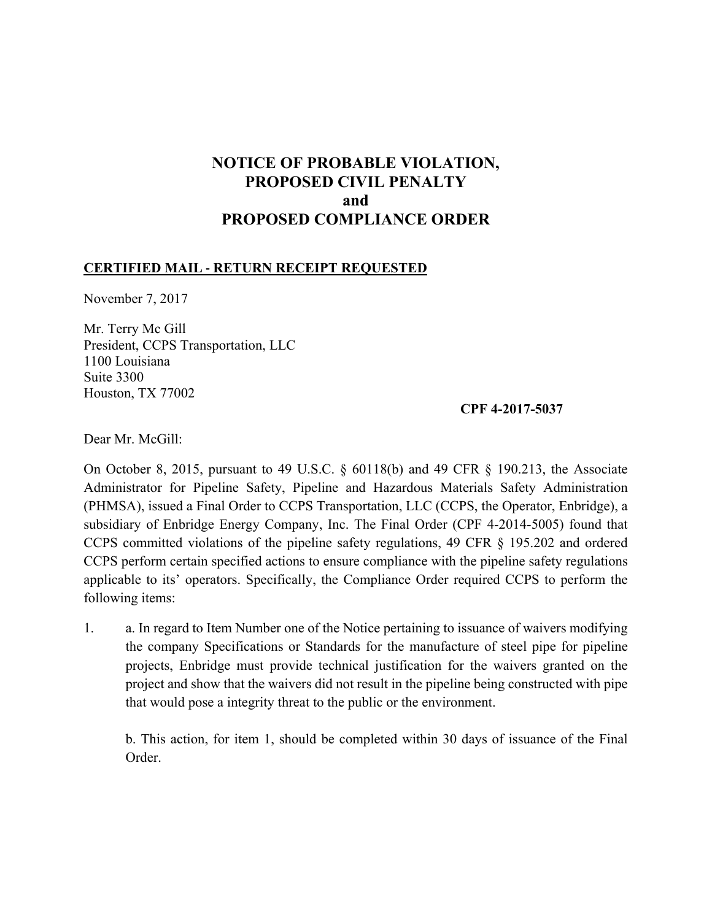# **NOTICE OF PROBABLE VIOLATION, PROPOSED CIVIL PENALTY and PROPOSED COMPLIANCE ORDER**

### **CERTIFIED MAIL ‐ RETURN RECEIPT REQUESTED**

November 7, 2017

Mr. Terry Mc Gill President, CCPS Transportation, LLC 1100 Louisiana Suite 3300 Houston, TX 77002

#### **CPF 4-2017-5037**

Dear Mr. McGill:

 On October 8, 2015, pursuant to 49 U.S.C. § 60118(b) and 49 CFR § 190.213, the Associate Administrator for Pipeline Safety, Pipeline and Hazardous Materials Safety Administration (PHMSA), issued a Final Order to CCPS Transportation, LLC (CCPS, the Operator, Enbridge), a subsidiary of Enbridge Energy Company, Inc. The Final Order (CPF 4-2014-5005) found that CCPS committed violations of the pipeline safety regulations, 49 CFR § 195.202 and ordered CCPS perform certain specified actions to ensure compliance with the pipeline safety regulations applicable to its' operators. Specifically, the Compliance Order required CCPS to perform the following items:

1. a. In regard to Item Number one of the Notice pertaining to issuance of waivers modifying the company Specifications or Standards for the manufacture of steel pipe for pipeline projects, Enbridge must provide technical justification for the waivers granted on the project and show that the waivers did not result in the pipeline being constructed with pipe that would pose a integrity threat to the public or the environment.

b. This action, for item 1, should be completed within 30 days of issuance of the Final Order.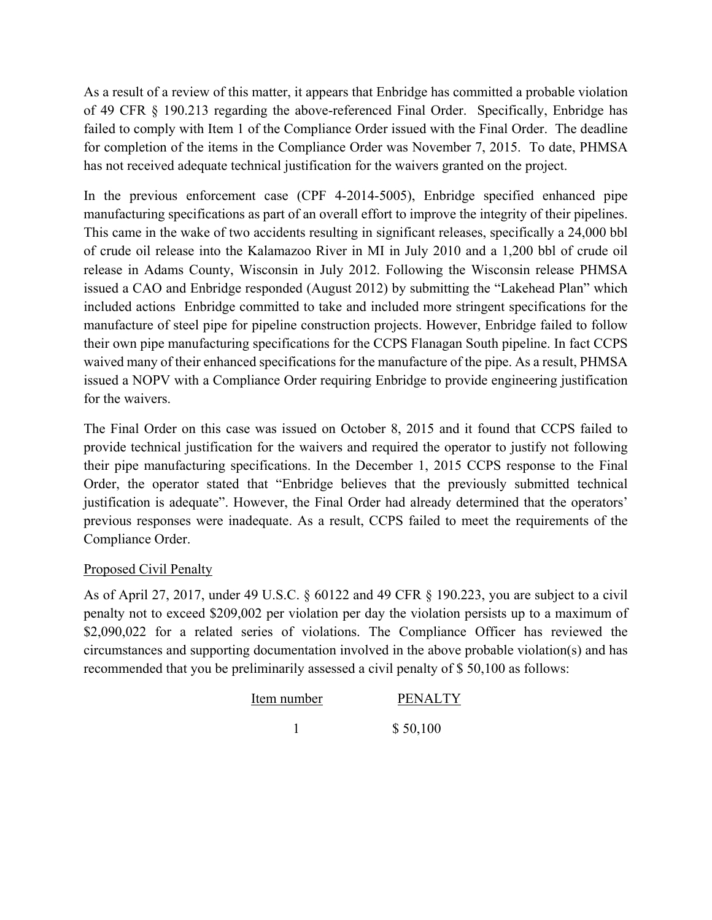of 49 CFR § 190.213 regarding the above-referenced Final Order. Specifically, Enbridge has As a result of a review of this matter, it appears that Enbridge has committed a probable violation failed to comply with Item 1 of the Compliance Order issued with the Final Order. The deadline for completion of the items in the Compliance Order was November 7, 2015. To date, PHMSA has not received adequate technical justification for the waivers granted on the project.

 manufacturing specifications as part of an overall effort to improve the integrity of their pipelines. included actions Enbridge committed to take and included more stringent specifications for the waived many of their enhanced specifications for the manufacture of the pipe. As a result, PHMSA In the previous enforcement case (CPF 4-2014-5005), Enbridge specified enhanced pipe This came in the wake of two accidents resulting in significant releases, specifically a 24,000 bbl of crude oil release into the Kalamazoo River in MI in July 2010 and a 1,200 bbl of crude oil release in Adams County, Wisconsin in July 2012. Following the Wisconsin release PHMSA issued a CAO and Enbridge responded (August 2012) by submitting the "Lakehead Plan" which manufacture of steel pipe for pipeline construction projects. However, Enbridge failed to follow their own pipe manufacturing specifications for the CCPS Flanagan South pipeline. In fact CCPS issued a NOPV with a Compliance Order requiring Enbridge to provide engineering justification for the waivers.

The Final Order on this case was issued on October 8, 2015 and it found that CCPS failed to provide technical justification for the waivers and required the operator to justify not following their pipe manufacturing specifications. In the December 1, 2015 CCPS response to the Final Order, the operator stated that "Enbridge believes that the previously submitted technical justification is adequate". However, the Final Order had already determined that the operators' previous responses were inadequate. As a result, CCPS failed to meet the requirements of the Compliance Order.

## Proposed Civil Penalty

As of April 27, 2017, under 49 U.S.C. § 60122 and 49 CFR § 190.223, you are subject to a civil penalty not to exceed \$209,002 per violation per day the violation persists up to a maximum of \$2,090,022 for a related series of violations. The Compliance Officer has reviewed the circumstances and supporting documentation involved in the above probable violation(s) and has recommended that you be preliminarily assessed a civil penalty of \$ 50,100 as follows:

| Item number | <b>PENALTY</b> |
|-------------|----------------|
|             | \$50,100       |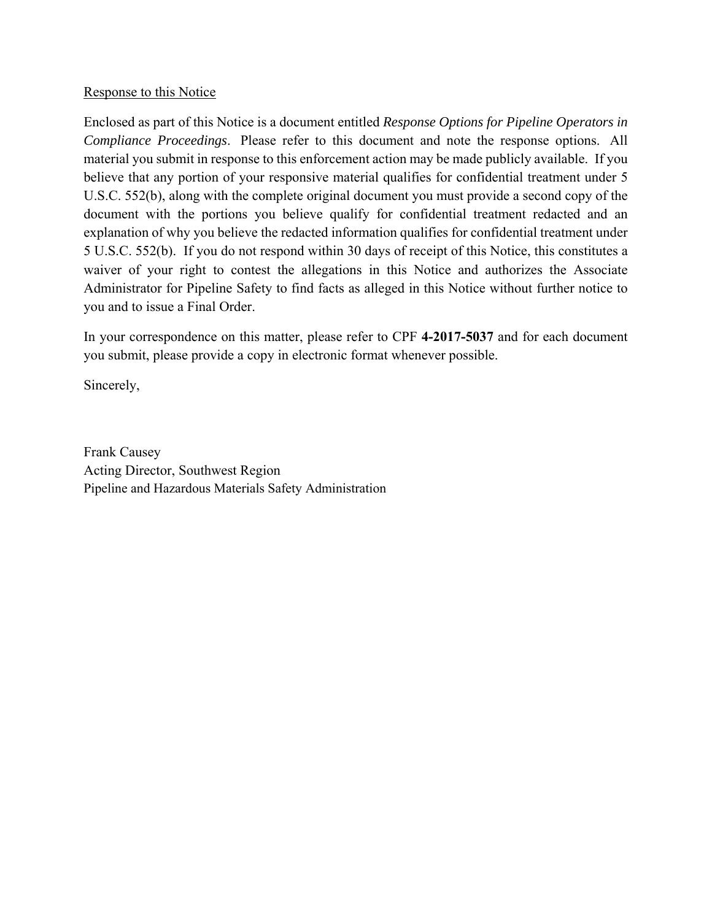### Response to this Notice

 *Compliance Proceedings*. Please refer to this document and note the response options. All Enclosed as part of this Notice is a document entitled *Response Options for Pipeline Operators in*  material you submit in response to this enforcement action may be made publicly available. If you believe that any portion of your responsive material qualifies for confidential treatment under 5 U.S.C. 552(b), along with the complete original document you must provide a second copy of the document with the portions you believe qualify for confidential treatment redacted and an explanation of why you believe the redacted information qualifies for confidential treatment under 5 U.S.C. 552(b). If you do not respond within 30 days of receipt of this Notice, this constitutes a waiver of your right to contest the allegations in this Notice and authorizes the Associate Administrator for Pipeline Safety to find facts as alleged in this Notice without further notice to you and to issue a Final Order.

In your correspondence on this matter, please refer to CPF **4-2017-5037** and for each document you submit, please provide a copy in electronic format whenever possible.

Sincerely,

Frank Causey Acting Director, Southwest Region Pipeline and Hazardous Materials Safety Administration